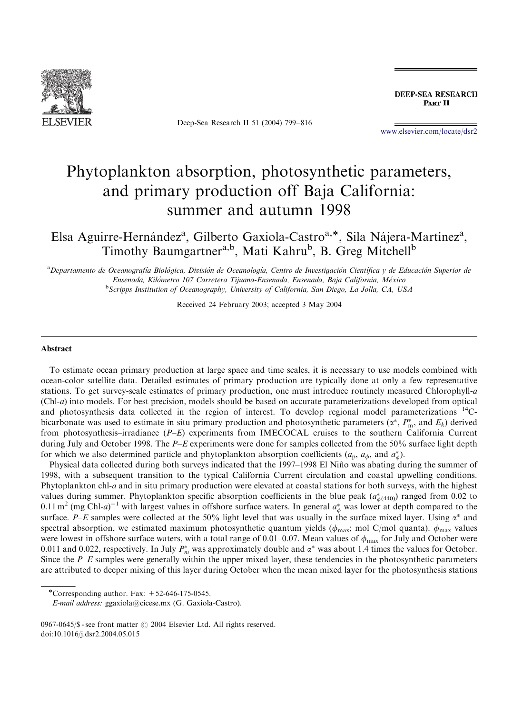

Deep-Sea Research II 51 (2004) 799–816

**DEEP-SEA RESEARCH** PART II

<www.elsevier.com/locate/dsr2>

# Phytoplankton absorption, photosynthetic parameters, and primary production off Baja California: summer and autumn 1998

Elsa Aguirre-Hernández<sup>a</sup>, Gilberto Gaxiola-Castro<sup>a,\*</sup>, Sila Nájera-Martínez<sup>a</sup>, Timothy Baumgartner<sup>a,b</sup>, Mati Kahru<sup>b</sup>, B. Greg Mitchell<sup>b</sup>

a<br>Departamento de Oceanografía Biológica, División de Oceanología, Centro de Investigación Científica y de Educación Superior de Ensenada, Kilo´metro 107 Carretera Tijuana-Ensenada, Ensenada, Baja California, Me´xico <sup>b</sup>Scripps Institution of Oceanography, University of California, San Diego, La Jolla, CA, USA

Received 24 February 2003; accepted 3 May 2004

#### Abstract

To estimate ocean primary production at large space and time scales, it is necessary to use models combined with ocean-color satellite data. Detailed estimates of primary production are typically done at only a few representative stations. To get survey-scale estimates of primary production, one must introduce routinely measured Chlorophyll-a (Chl-a) into models. For best precision, models should be based on accurate parameterizations developed from optical and photosynthesis data collected in the region of interest. To develop regional model parameterizations <sup>14</sup>Cbicarbonate was used to estimate in situ primary production and photosynthetic parameters  $(\alpha^*, P_m^*)$ , and  $E_k$ ) derived from photosynthesis–irradiance  $(P-E)$  experiments from IMECOCAL cruises to the southern California Current during July and October 1998. The P–E experiments were done for samples collected from the 50% surface light depth for which we also determined particle and phytoplankton absorption coefficients  $(a_p, a_\phi)$ , and  $a^*_{\phi}$ ).

Physical data collected during both surveys indicated that the 1997–1998 El Niño was abating during the summer of 1998, with a subsequent transition to the typical California Current circulation and coastal upwelling conditions. Phytoplankton chl-a and in situ primary production were elevated at coastal stations for both surveys, with the highest values during summer. Phytoplankton specific absorption coefficients in the blue peak  $(a^*_{\phi(440)})$  ranged from 0.02 to 0.11 m<sup>2</sup> (mg Chl-a)<sup>-1</sup> with largest values in offshore surface waters. In general  $a^*_{\phi}$  was lower at depth compared to the surface. P–E samples were collected at the 50% light level that was usually in the surface mixed layer. Using  $\alpha^*$  and spectral absorption, we estimated maximum photosynthetic quantum yields ( $\phi_{\text{max}}$ ; mol C/mol quanta).  $\phi_{\text{max}}$  values were lowest in offshore surface waters, with a total range of 0.01–0.07. Mean values of  $\phi_{\text{max}}$  for July and October were 0.011 and 0.022, respectively. In July  $P_m^*$  was approximately double and  $\alpha^*$  was about 1.4 times the values for October. Since the P–E samples were generally within the upper mixed layer, these tendencies in the photosynthetic parameters are attributed to deeper mixing of this layer during October when the mean mixed layer for the photosynthesis stations

<sup>\*</sup>Corresponding author. Fax:  $+52-646-175-0545$ .

E-mail address: ggaxiola@cicese.mx (G. Gaxiola-Castro).

<sup>0967-0645/\$ -</sup> see front matter  $\odot$  2004 Elsevier Ltd. All rights reserved. doi:10.1016/j.dsr2.2004.05.015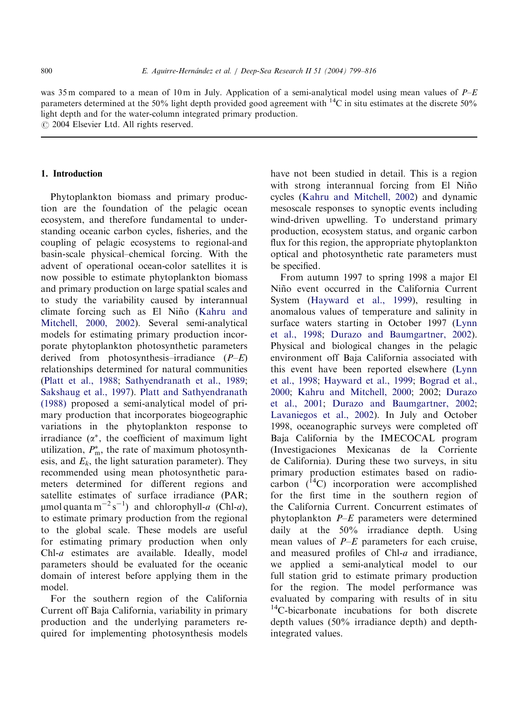was 35 m compared to a mean of 10 m in July. Application of a semi-analytical model using mean values of  $P-E$ parameters determined at the 50% light depth provided good agreement with <sup>14</sup>C in situ estimates at the discrete 50% light depth and for the water-column integrated primary production.

 $\odot$  2004 Elsevier Ltd. All rights reserved.

# 1. Introduction

Phytoplankton biomass and primary production are the foundation of the pelagic ocean ecosystem, and therefore fundamental to understanding oceanic carbon cycles, fisheries, and the coupling of pelagic ecosystems to regional-and basin-scale physical–chemical forcing. With the advent of operational ocean-color satellites it is now possible to estimate phytoplankton biomass and primary production on large spatial scales and to study the variability caused by interannual climate forcing such as El Niño ([Kahru and](#page-16-0) [Mitchell, 2000, 2002](#page-16-0)). Several semi-analytical models for estimating primary production incorporate phytoplankton photosynthetic parameters derived from photosynthesis–irradiance  $(P-E)$ relationships determined for natural communities ([Platt et al., 1988;](#page-16-0) [Sathyendranath et al., 1989](#page-16-0); [Sakshaug et al., 1997\)](#page-16-0). [Platt and Sathyendranath](#page-16-0) [\(1988\)](#page-16-0) proposed a semi-analytical model of primary production that incorporates biogeographic variations in the phytoplankton response to irradiance  $(\alpha^*$ , the coefficient of maximum light utilization,  $P_{\text{m}}^{*}$ , the rate of maximum photosynthesis, and  $E_k$ , the light saturation parameter). They recommended using mean photosynthetic parameters determined for different regions and satellite estimates of surface irradiance (PAR;  $\mu$ mol quanta m<sup>-2</sup> s<sup>-1</sup>) and chlorophyll-*a* (Chl-*a*), to estimate primary production from the regional to the global scale. These models are useful for estimating primary production when only Chl-a estimates are available. Ideally, model parameters should be evaluated for the oceanic domain of interest before applying them in the model.

For the southern region of the California Current off Baja California, variability in primary production and the underlying parameters required for implementing photosynthesis models have not been studied in detail. This is a region with strong interannual forcing from El Niño cycles [\(Kahru and Mitchell, 2002](#page-16-0)) and dynamic mesoscale responses to synoptic events including wind-driven upwelling. To understand primary production, ecosystem status, and organic carbon flux for this region, the appropriate phytoplankton optical and photosynthetic rate parameters must be specified.

From autumn 1997 to spring 1998 a major El Niño event occurred in the California Current System ([Hayward et al., 1999](#page-16-0)), resulting in anomalous values of temperature and salinity in surface waters starting in October 1997 [\(Lynn](#page-16-0) [et al., 1998](#page-16-0); [Durazo and Baumgartner, 2002\)](#page-15-0). Physical and biological changes in the pelagic environment off Baja California associated with this event have been reported elsewhere [\(Lynn](#page-16-0) [et al., 1998](#page-16-0); [Hayward et al., 1999;](#page-16-0) [Bograd et al.,](#page-15-0) [2000;](#page-15-0) [Kahru and Mitchell, 2000](#page-16-0); 2002; [Durazo](#page-15-0) [et al., 2001](#page-15-0); [Durazo and Baumgartner, 2002](#page-15-0); [Lavaniegos et al., 2002](#page-16-0)). In July and October 1998, oceanographic surveys were completed off Baja California by the IMECOCAL program (Investigaciones Mexicanas de la Corriente de California). During these two surveys, in situ primary production estimates based on radiocarbon  $(^{14}C)$  incorporation were accomplished for the first time in the southern region of the California Current. Concurrent estimates of phytoplankton P–E parameters were determined daily at the 50% irradiance depth. Using mean values of  $P-E$  parameters for each cruise, and measured profiles of Chl-a and irradiance, we applied a semi-analytical model to our full station grid to estimate primary production for the region. The model performance was evaluated by comparing with results of in situ <sup>14</sup>C-bicarbonate incubations for both discrete depth values (50% irradiance depth) and depthintegrated values.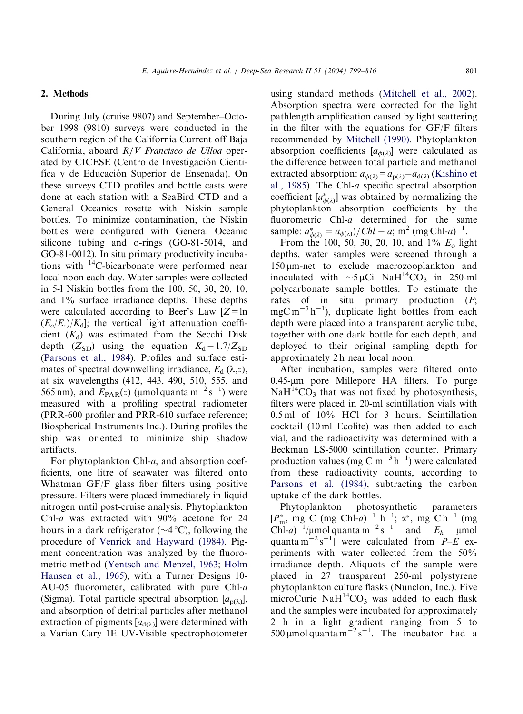#### 2. Methods

During July (cruise 9807) and September–October 1998 (9810) surveys were conducted in the southern region of the California Current off Baja California, aboard R/V Francisco de Ulloa operated by CICESE (Centro de Investigación Cientifica y de Educación Superior de Ensenada). On these surveys CTD profiles and bottle casts were done at each station with a SeaBird CTD and a General Oceanics rosette with Niskin sample bottles. To minimize contamination, the Niskin bottles were configured with General Oceanic silicone tubing and o-rings (GO-81-5014, and GO-81-0012). In situ primary productivity incubations with  $^{14}$ C-bicarbonate were performed near local noon each day. Water samples were collected in 5-l Niskin bottles from the 100, 50, 30, 20, 10, and 1% surface irradiance depths. These depths were calculated according to Beer's Law  $[Z=ln]$  $(E_o/E_z)/K_d$ ; the vertical light attenuation coefficient  $(K_d)$  was estimated from the Secchi Disk depth ( $Z_{SD}$ ) using the equation  $K_d = 1.7/Z_{SD}$ ([Parsons et al., 1984\)](#page-16-0). Profiles and surface estimates of spectral downwelling irradiance,  $E_d$  ( $\lambda$ ,z), at six wavelengths (412, 443, 490, 510, 555, and 565 nm), and  $E_{\text{PAR}}(z)$  (µmol quanta m<sup>-2</sup> s<sup>-1</sup>) were measured with a profiling spectral radiometer (PRR-600 profiler and PRR-610 surface reference; Biospherical Instruments Inc.). During profiles the ship was oriented to minimize ship shadow artifacts.

For phytoplankton Chl-a, and absorption coefficients, one litre of seawater was filtered onto Whatman GF/F glass fiber filters using positive pressure. Filters were placed immediately in liquid nitrogen until post-cruise analysis. Phytoplankton Chl-a was extracted with 90% acetone for 24 hours in a dark refrigerator  $(\sim 4^{\circ}C)$ , following the procedure of [Venrick and Hayward \(1984\)](#page-17-0). Pigment concentration was analyzed by the fluorometric method ([Yentsch and Menzel, 1963;](#page-17-0) [Holm](#page-16-0) [Hansen et al., 1965](#page-16-0)), with a Turner Designs 10- AU-05 fluorometer, calibrated with pure Chl-a (Sigma). Total particle spectral absorption  $[a_{n(\lambda)}],$ and absorption of detrital particles after methanol extraction of pigments  $[a_{d(\lambda)}]$  were determined with a Varian Cary 1E UV-Visible spectrophotometer

using standard methods ([Mitchell et al., 2002\)](#page-16-0). Absorption spectra were corrected for the light pathlength amplification caused by light scattering in the filter with the equations for GF/F filters recommended by [Mitchell \(1990\)](#page-16-0). Phytoplankton absorption coefficients  $[a_{\phi(\lambda)}]$  were calculated as the difference between total particle and methanol extracted absorption:  $a_{\phi(\lambda)} = a_{p(\lambda)} - a_{d(\lambda)}$  ([Kishino et](#page-16-0) [al., 1985](#page-16-0)). The Chl-a specific spectral absorption coefficient  $[a^*_{\phi(\lambda)}]$  was obtained by normalizing the phytoplankton absorption coefficients by the fluorometric Chl-a determined for the same sample:  $a_{\phi(\lambda)}^* = a_{\phi(\lambda)}/Chl - a$ ; m<sup>2</sup> (mg Chl-a)<sup>-1</sup>.

From the 100, 50, 30, 20, 10, and  $1\%$   $E_0$  light depths, water samples were screened through a 150 mm-net to exclude macrozooplankton and inoculated with  $\sim$ 5 µCi NaH<sup>14</sup>CO<sub>3</sub> in 250-ml polycarbonate sample bottles. To estimate the rates of in situ primary production (P;  $mgC m^{-3} h^{-1}$ ), duplicate light bottles from each depth were placed into a transparent acrylic tube, together with one dark bottle for each depth, and deployed to their original sampling depth for approximately 2 h near local noon.

After incubation, samples were filtered onto  $0.45$ -µm pore Millepore HA filters. To purge  $NaH<sup>14</sup>CO<sub>3</sub>$  that was not fixed by photosynthesis, filters were placed in 20-ml scintillation vials with 0.5 ml of 10% HCl for 3 hours. Scintillation cocktail (10 ml Ecolite) was then added to each vial, and the radioactivity was determined with a Beckman LS-5000 scintillation counter. Primary production values (mg C m<sup>-3</sup> h<sup>-1</sup>) were calculated from these radioactivity counts, according to [Parsons et al. \(1984\),](#page-16-0) subtracting the carbon uptake of the dark bottles.

Phytoplankton photosynthetic parameters  $[P_m^*, \text{ mg } C \text{ (mg Chl-}a)^{-1} \text{ h}^{-1}; \alpha^*, \text{ mg } C \text{ h}^{-1} \text{ (mg)}$ Chl-a)<sup>-1</sup>/ $\mu$ mol quanta m<sup>-2</sup> s<sup>-1</sup> and  $E_k$   $\mu$ mol quanta  $m^{-2} s^{-1}$  were calculated from  $P-E$  experiments with water collected from the 50% irradiance depth. Aliquots of the sample were placed in 27 transparent 250-ml polystyrene phytoplankton culture flasks (Nunclon, Inc.). Five microCurie Na $H^{14}CO_3$  was added to each flask and the samples were incubated for approximately 2 h in a light gradient ranging from 5 to 500 µmol quanta  $m^{-2} s^{-1}$ . The incubator had a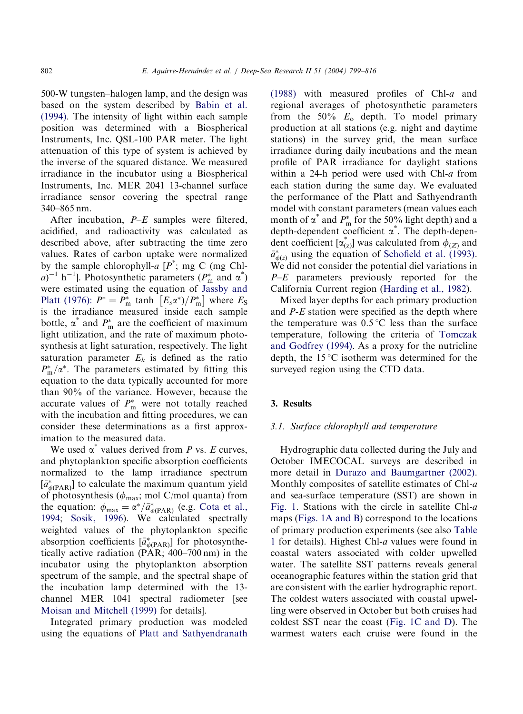500-W tungsten–halogen lamp, and the design was based on the system described by [Babin et al.](#page-15-0) [\(1994\)](#page-15-0). The intensity of light within each sample position was determined with a Biospherical Instruments, Inc. QSL-100 PAR meter. The light attenuation of this type of system is achieved by the inverse of the squared distance. We measured irradiance in the incubator using a Biospherical Instruments, Inc. MER 2041 13-channel surface irradiance sensor covering the spectral range 340–865 nm.

After incubation,  $P-E$  samples were filtered, acidified, and radioactivity was calculated as described above, after subtracting the time zero values. Rates of carbon uptake were normalized by the sample chlorophyll- $a [P^*; m g C (m g Ch)]$  $(a)^{-1}$  h<sup>-1</sup>]. Photosynthetic parameters ( $P_m^*$  and  $\alpha^*$ ) were estimated using the equation of [Jassby and](#page-16-0) [Platt \(1976\):](#page-16-0)  $P^* = P_{\text{m}}^*$  tanh  $\left[ E_s \alpha^* \right] / P_{\text{m}}^* \right]$  where  $E_S$ is the irradiance measured inside each sample bottle,  $\alpha^*$  and  $P_m^*$  are the coefficient of maximum light utilization, and the rate of maximum photosynthesis at light saturation, respectively. The light saturation parameter  $E_k$  is defined as the ratio  $P_{\rm m}^{*}/\alpha^{*}$ . The parameters estimated by fitting this equation to the data typically accounted for more than 90% of the variance. However, because the accurate values of  $P_{\text{m}}^*$  were not totally reached with the incubation and fitting procedures, we can consider these determinations as a first approximation to the measured data.

We used  $\alpha^*$  values derived from P vs. E curves, and phytoplankton specific absorption coefficients normalized to the lamp irradiance spectrum  $[\bar{a}^*_{\phi(\text{PAR})}]$  to calculate the maximum quantum yield of photosynthesis ( $\phi_{\text{max}}$ ; mol C/mol quanta) from the equation:  $\phi_{\text{max}} = \alpha^*/\bar{a}^*_{\phi(\text{PAR})}$  (e.g. [Cota et al.,](#page-15-0) [1994](#page-15-0); [Sosik, 1996](#page-17-0)). We calculated spectrally weighted values of the phytoplankton specific absorption coefficients  $[\bar{a}^*_{\phi(\text{PAR})}]$  for photosynthetically active radiation (PAR; 400–700 nm) in the incubator using the phytoplankton absorption spectrum of the sample, and the spectral shape of the incubation lamp determined with the 13 channel MER 1041 spectral radiometer [see [Moisan and Mitchell \(1999\)](#page-16-0) for details].

Integrated primary production was modeled using the equations of [Platt and Sathyendranath](#page-16-0) [\(1988\)](#page-16-0) with measured profiles of Chl-a and regional averages of photosynthetic parameters from the 50%  $E_0$  depth. To model primary production at all stations (e.g. night and daytime stations) in the survey grid, the mean surface irradiance during daily incubations and the mean profile of PAR irradiance for daylight stations within a 24-h period were used with Chl-a from each station during the same day. We evaluated the performance of the Platt and Sathyendranth model with constant parameters (mean values each month of  $\alpha^*$  and  $P_m^*$  for the 50% light depth) and a depth-dependent coefficient  $\alpha^*$ . The depth-dependent coefficient  $[\alpha^*_{(z)}]$  was calculated from  $\phi_{(Z)}$  and  $\bar{a}^*_{\phi(z)}$  using the equation of [Schofield et al. \(1993\)](#page-16-0). We did not consider the potential diel variations in  $P-E$  parameters previously reported for the California Current region ([Harding et al., 1982](#page-16-0)).

Mixed layer depths for each primary production and P-E station were specified as the depth where the temperature was  $0.5^{\circ}$ C less than the surface temperature, following the criteria of [Tomczak](#page-17-0) [and Godfrey \(1994\).](#page-17-0) As a proxy for the nutricline depth, the  $15^{\circ}$ C isotherm was determined for the surveyed region using the CTD data.

## 3. Results

#### 3.1. Surface chlorophyll and temperature

Hydrographic data collected during the July and October IMECOCAL surveys are described in more detail in [Durazo and Baumgartner \(2002\)](#page-15-0). Monthly composites of satellite estimates of Chl-a and sea-surface temperature (SST) are shown in [Fig. 1](#page-4-0). Stations with the circle in satellite Chl-a maps [\(Figs. 1A and B](#page-4-0)) correspond to the locations of primary production experiments (see also [Table](#page-5-0) [1](#page-5-0) for details). Highest Chl-a values were found in coastal waters associated with colder upwelled water. The satellite SST patterns reveals general oceanographic features within the station grid that are consistent with the earlier hydrographic report. The coldest waters associated with coastal upwelling were observed in October but both cruises had coldest SST near the coast [\(Fig. 1C and D](#page-4-0)). The warmest waters each cruise were found in the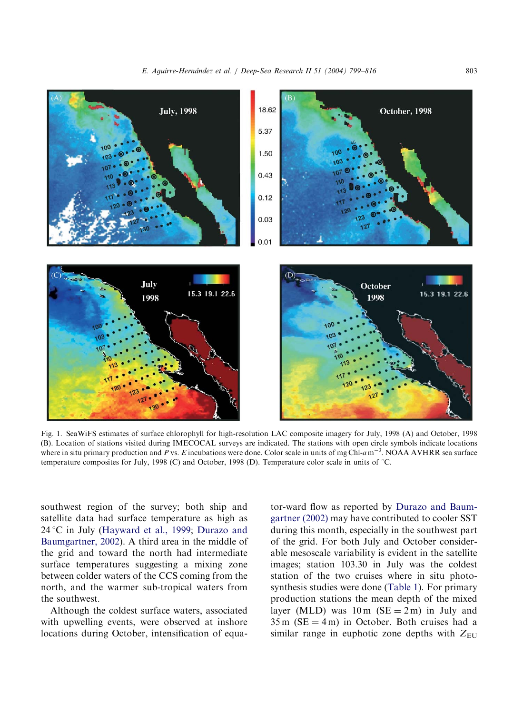<span id="page-4-0"></span>

Fig. 1. SeaWiFS estimates of surface chlorophyll for high-resolution LAC composite imagery for July, 1998 (A) and October, 1998 (B). Location of stations visited during IMECOCAL surveys are indicated. The stations with open circle symbols indicate locations where in situ primary production and P vs. E incubations were done. Color scale in units of mg Chl- $a$  m<sup>-3</sup>. NOAA AVHRR sea surface temperature composites for July, 1998 (C) and October, 1998 (D). Temperature color scale in units of  $\degree$ C.

southwest region of the survey; both ship and satellite data had surface temperature as high as  $24^{\circ}$ C in July [\(Hayward et al., 1999;](#page-16-0) [Durazo and](#page-15-0) [Baumgartner, 2002](#page-15-0)). A third area in the middle of the grid and toward the north had intermediate surface temperatures suggesting a mixing zone between colder waters of the CCS coming from the north, and the warmer sub-tropical waters from the southwest.

Although the coldest surface waters, associated with upwelling events, were observed at inshore locations during October, intensification of equator-ward flow as reported by [Durazo and Baum](#page-15-0)[gartner \(2002\)](#page-15-0) may have contributed to cooler SST during this month, especially in the southwest part of the grid. For both July and October considerable mesoscale variability is evident in the satellite images; station 103.30 in July was the coldest station of the two cruises where in situ photosynthesis studies were done [\(Table 1](#page-5-0)). For primary production stations the mean depth of the mixed layer (MLD) was  $10 \text{ m}$  (SE = 2 m) in July and  $35 \text{ m}$  (SE = 4 m) in October. Both cruises had a similar range in euphotic zone depths with  $Z_{\text{EU}}$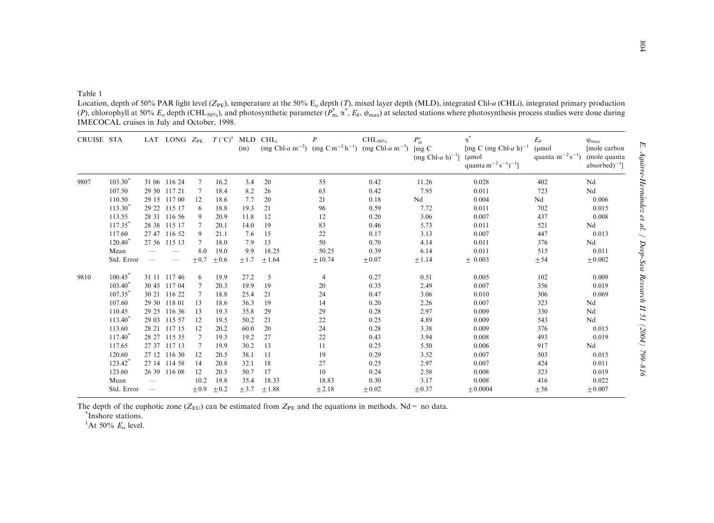<span id="page-5-0"></span>Table 1

Location, depth of 50% PAR light level ( $Z_{PE}$ ), temperature at the 50%  $E_0$  depth (T), mixed layer depth (MLD), integrated Chl-a (CHLi), integrated primary production (P), chlorophyll at 50%  $E_0$  depth (CHL<sub>50%</sub>), and photosynthetic parameter ( $P_{m}^*$ ,  $\alpha^*$ ,  $E_k$ ,  $\phi_{\text{max}}$ ) at selected stations where photosynthesis process studies were done during IMECOCAL cruises in July and October, 1998.

| CRUISE STA |            |                          | LAT LONG $Z_{PE}$ |           | $T({}^{\circ}C)^{1}$ | $MLD$ $CHLi$<br>(m) |         |         | $\mathrm{CHL}_{50\%}$<br>$(mg Chl-a m^{-2})$ $(mg Cm^{-2}h^{-1})$ $(mg Chl-a m^{-3})$ $[mg C]$ | $P_{\rm m}^*$<br>$(mg Chl-a h)^{-1}$ ] | $\alpha$<br>[mg C (mg Chl-a h) <sup>-1</sup><br>$(\mu$ mol<br>quanta m <sup>-2</sup> s <sup>-1</sup> ) <sup>-1</sup> ] | $E_k$<br>(µmol<br>quanta $m^{-2} s^{-1}$ ) | $\varphi_{\text{max}}$<br>[mole carbon<br>(mole quanta<br>$absorbed$ <sup>-1</sup> ] |
|------------|------------|--------------------------|-------------------|-----------|----------------------|---------------------|---------|---------|------------------------------------------------------------------------------------------------|----------------------------------------|------------------------------------------------------------------------------------------------------------------------|--------------------------------------------|--------------------------------------------------------------------------------------|
| 9807       | $103.30^*$ |                          | 31 06 116 24      | 7         | 16.2                 | 3.4                 | 20      | 55      | 0.42                                                                                           | 11.26                                  | 0.028                                                                                                                  | 402                                        | Nd                                                                                   |
|            | 107.50     |                          | 29 50 117 21      | -7        | 18.4                 | 8.2                 | 26      | 63      | 0.42                                                                                           | 7.95                                   | 0.011                                                                                                                  | 723                                        | Nd                                                                                   |
|            | 110.50     |                          | 29 15 117 00      | 12        | 18.6                 | 7.7                 | 20      | 21      | 0.18                                                                                           | Nd                                     | 0.004                                                                                                                  | Nd                                         | 0.006                                                                                |
|            | $113.30*$  |                          | 29 22 115 17      | 6         | 18.8                 | 19.3                | 21      | 96      | 0.59                                                                                           | 7.72                                   | 0.011                                                                                                                  | 702                                        | 0.015                                                                                |
|            | 113.55     |                          | 28 31 116 56      | 9         | 20.9                 | 11.8                | 12      | 12      | 0.20                                                                                           | 3.06                                   | 0.007                                                                                                                  | 437                                        | 0.008                                                                                |
|            | $117.35*$  |                          | 28 38 115 17      |           | 20.1                 | 14.0                | 19      | 83      | 0.46                                                                                           | 5.73                                   | 0.011                                                                                                                  | 521                                        | Nd                                                                                   |
|            | 117.60     |                          | 27 47 116 52      | 9         | 21.1                 | 7.6                 | 15      | 22      | 0.17                                                                                           | 3.13                                   | 0.007                                                                                                                  | 447                                        | 0.013                                                                                |
|            | $120.40^*$ |                          | 27 56 115 13      |           | 18.0                 | 7.9                 | 13      | 50      | 0.70                                                                                           | 4.14                                   | 0.011                                                                                                                  | 376                                        | Nd                                                                                   |
|            | Mean       |                          |                   | 8.0       | 19.0                 | 9.9                 | 18.25   | 50.25   | 0.39                                                                                           | 6.14                                   | 0.011                                                                                                                  | 515                                        | 0.011                                                                                |
|            | Std. Error |                          |                   | $\pm 0.7$ | $\pm 0.6$            | $\pm 1.7$           | ±1.64   | ± 10.74 | $\pm 0.07$                                                                                     | ±1.14                                  | $\pm 0.003$                                                                                                            | ± 54                                       | ± 0.002                                                                              |
| 9810       | 100.45     |                          | 31 11 117 46      | 6         | 19.9                 | 27.2                | 5       | 4       | 0.27                                                                                           | 0.51                                   | 0.005                                                                                                                  | 102                                        | 0.009                                                                                |
|            | $103.40^*$ |                          | 30 45 117 04      | 7         | 20.3                 | 19.9                | 19      | 20      | 0.35                                                                                           | 2.49                                   | 0.007                                                                                                                  | 356                                        | 0.019                                                                                |
|            | 107.35     |                          | 30 21 116 22      |           | 18.8                 | 25.4                | 21      | 24      | 0.47                                                                                           | 3.06                                   | 0.010                                                                                                                  | 306                                        | 0.069                                                                                |
|            | 107.60     |                          | 29 30 118 01      | 13        | 18.6                 | 36.3                | 19      | 14      | 0.20                                                                                           | 2.26                                   | 0.007                                                                                                                  | 323                                        | Nd                                                                                   |
|            | 110.45     |                          | 29 25 116 36      | 13        | 19.3                 | 35.8                | 29      | 29      | 0.28                                                                                           | 2.97                                   | 0.009                                                                                                                  | 330                                        | Nd                                                                                   |
|            | $113.40*$  |                          | 29 03 115 57      | 12        | 19.5                 | 50.2                | 21      | 22      | 0.25                                                                                           | 4.89                                   | 0.009                                                                                                                  | 543                                        | Nd                                                                                   |
|            | 113.60     |                          | 28 21 117 15      | 12        | 20.2                 | 60.0                | 20      | 24      | 0.28                                                                                           | 3.38                                   | 0.009                                                                                                                  | 376                                        | 0.015                                                                                |
|            | $117.40*$  |                          | 28 27 115 35      |           | 19.3                 | 19.2                | 27      | 22      | 0.43                                                                                           | 3.94                                   | 0.008                                                                                                                  | 493                                        | 0.019                                                                                |
|            | 117.65     |                          | 27 37 117 13      | -7        | 19.9                 | 30.2                | 13      | 11      | 0.25                                                                                           | 5.50                                   | 0.006                                                                                                                  | 917                                        | Nd                                                                                   |
|            | 120.60     |                          | 27 12 116 30      | 12        | 20.5                 | 38.1                | 11      | 19      | 0.29                                                                                           | 3.52                                   | 0.007                                                                                                                  | 503                                        | 0.015                                                                                |
|            | 123.42*    |                          | 27 14 114 58      | 14        | 20.8                 | 32.1                | 18      | 27      | 0.25                                                                                           | 2.97                                   | 0.007                                                                                                                  | 424                                        | 0.011                                                                                |
|            | 123.60     |                          | 26 39 116 08      | 12        | 20.5                 | 50.7                | 17      | 10      | 0.24                                                                                           | 2.58                                   | 0.008                                                                                                                  | 323                                        | 0.019                                                                                |
|            | Mean       |                          |                   | 10.2      | 19.8                 | 35.4                | 18.33   | 18.83   | 0.30                                                                                           | 3.17                                   | 0.008                                                                                                                  | 416                                        | 0.022                                                                                |
|            | Std. Error | $\overline{\phantom{m}}$ |                   | $+0.9$    | $\pm 0.2$            | $+3.7$              | $+1.88$ | ±2.18   | $\pm 0.02$                                                                                     | $+0.37$                                | $+0.0004$                                                                                                              | ± 56                                       | $+0.007$                                                                             |

The depth of the euphotic zone ( $Z_{EU}$ ) can be estimated from  $Z_{PE}$  and the equations in methods. Nd = no data.

\*Inshore stations.

 $1$ At 50%  $E_{\rm o}$  level.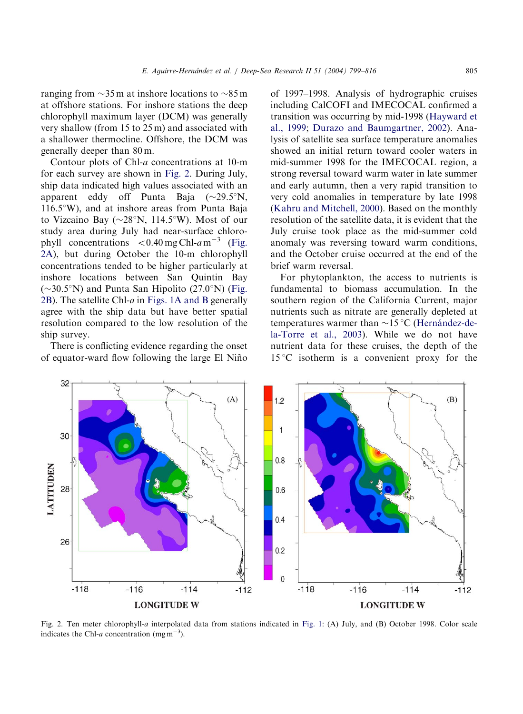ranging from  $\sim$ 35 m at inshore locations to  $\sim$ 85 m at offshore stations. For inshore stations the deep chlorophyll maximum layer (DCM) was generally very shallow (from 15 to 25 m) and associated with a shallower thermocline. Offshore, the DCM was generally deeper than 80 m.

Contour plots of Chl-a concentrations at 10-m for each survey are shown in Fig. 2. During July, ship data indicated high values associated with an apparent eddy off Punta Baja  $(\sim 29.5^\circ N,$  $116.5^{\circ}$ W), and at inshore areas from Punta Baja to Vizcaino Bay ( $\sim$ 28°N, 114.5°W). Most of our study area during July had near-surface chlorophyll concentrations  $< 0.40$  mg Chl-a m<sup>-3</sup> (Fig. 2A), but during October the 10-m chlorophyll concentrations tended to be higher particularly at inshore locations between San Quintin Bay  $(\sim 30.5^{\circ}N)$  and Punta San Hipolito (27.0°N) (Fig. 2B). The satellite Chl- $a$  in [Figs. 1A and B](#page-4-0) generally agree with the ship data but have better spatial resolution compared to the low resolution of the ship survey.

There is conflicting evidence regarding the onset of equator-ward flow following the large El Nin˜o

of 1997–1998. Analysis of hydrographic cruises including CalCOFI and IMECOCAL confirmed a transition was occurring by mid-1998 ([Hayward et](#page-16-0) [al., 1999;](#page-16-0) [Durazo and Baumgartner, 2002](#page-15-0)). Analysis of satellite sea surface temperature anomalies showed an initial return toward cooler waters in mid-summer 1998 for the IMECOCAL region, a strong reversal toward warm water in late summer and early autumn, then a very rapid transition to very cold anomalies in temperature by late 1998 ([Kahru and Mitchell, 2000](#page-16-0)). Based on the monthly resolution of the satellite data, it is evident that the July cruise took place as the mid-summer cold anomaly was reversing toward warm conditions, and the October cruise occurred at the end of the brief warm reversal.

For phytoplankton, the access to nutrients is fundamental to biomass accumulation. In the southern region of the California Current, major nutrients such as nitrate are generally depleted at temperatures warmer than  $\sim$ 15 °C (Hernández-de[la-Torre et al., 2003\)](#page-16-0). While we do not have nutrient data for these cruises, the depth of the  $15^{\circ}$ C isotherm is a convenient proxy for the



Fig. 2. Ten meter chlorophyll-a interpolated data from stations indicated in [Fig. 1](#page-4-0): (A) July, and (B) October 1998. Color scale indicates the Chl-a concentration (mg m<sup>-3</sup>).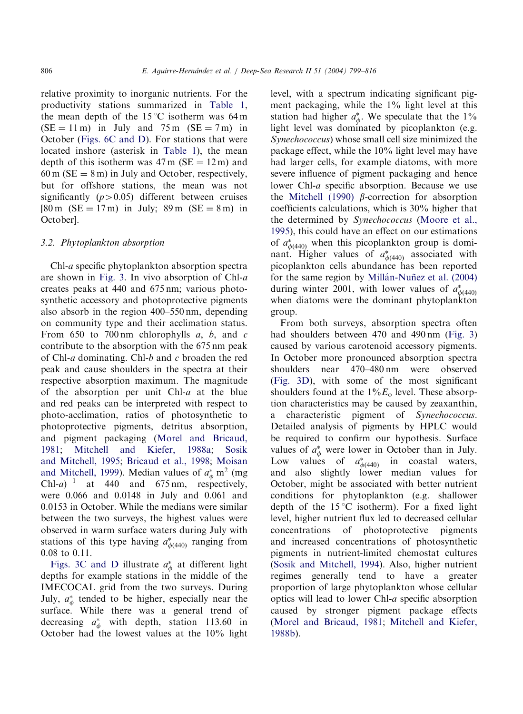relative proximity to inorganic nutrients. For the productivity stations summarized in [Table 1](#page-5-0), the mean depth of the  $15^{\circ}$ C isotherm was 64 m  $(SE = 11 \text{ m})$  in July and 75 m  $(SE = 7 \text{ m})$  in October ([Figs. 6C and D\)](#page-12-0). For stations that were located inshore (asterisk in [Table 1\)](#page-5-0), the mean depth of this isotherm was  $47 \text{ m}$  (SE = 12 m) and  $60 \text{ m}$  (SE = 8 m) in July and October, respectively. but for offshore stations, the mean was not significantly  $(p>0.05)$  different between cruises  $[80 \text{ m} (SE = 17 \text{ m})$  in July; 89 m  $(SE = 8 \text{ m})$  in October].

#### 3.2. Phytoplankton absorption

Chl-a specific phytoplankton absorption spectra are shown in [Fig. 3](#page-8-0). In vivo absorption of Chl-a creates peaks at 440 and 675 nm; various photosynthetic accessory and photoprotective pigments also absorb in the region 400–550 nm, depending on community type and their acclimation status. From 650 to 700 nm chlorophylls  $a, b,$  and  $c$ contribute to the absorption with the 675 nm peak of Chl-a dominating. Chl-b and c broaden the red peak and cause shoulders in the spectra at their respective absorption maximum. The magnitude of the absorption per unit Chl-a at the blue and red peaks can be interpreted with respect to photo-acclimation, ratios of photosynthetic to photoprotective pigments, detritus absorption, and pigment packaging ([Morel and Bricaud,](#page-16-0) [1981](#page-16-0); [Mitchell and Kiefer, 1988a;](#page-16-0) [Sosik](#page-17-0) [and Mitchell, 1995;](#page-17-0) [Bricaud et al., 1998](#page-15-0); [Moisan](#page-16-0) [and Mitchell, 1999\)](#page-16-0). Median values of  $a^*_{\phi}$  m<sup>2</sup> (mg Chl-a)<sup>-1</sup> at 440 and 675 nm, respectively, were 0.066 and 0.0148 in July and 0.061 and 0.0153 in October. While the medians were similar between the two surveys, the highest values were observed in warm surface waters during July with stations of this type having  $a_{\phi(440)}^*$  ranging from 0.08 to 0.11.

[Figs. 3C and D](#page-8-0) illustrate  $a^*_{\phi}$  at different light depths for example stations in the middle of the IMECOCAL grid from the two surveys. During July,  $a^*_{\phi}$  tended to be higher, especially near the surface. While there was a general trend of decreasing  $a^*_{\phi}$  with depth, station 113.60 in October had the lowest values at the 10% light

level, with a spectrum indicating significant pigment packaging, while the 1% light level at this station had higher  $a^*_{\phi}$ . We speculate that the 1% light level was dominated by picoplankton (e.g. Synechococcus) whose small cell size minimized the package effect, while the 10% light level may have had larger cells, for example diatoms, with more severe influence of pigment packaging and hence lower Chl-a specific absorption. Because we use the [Mitchell \(1990\)](#page-16-0)  $\beta$ -correction for absorption coefficients calculations, which is 30% higher that the determined by Synechococcus [\(Moore et al.,](#page-16-0) [1995\)](#page-16-0), this could have an effect on our estimations of  $a_{\phi(440)}^*$  when this picoplankton group is dominant. Higher values of  $a_{\phi(440)}^*$  associated with picoplankton cells abundance has been reported for the same region by Millán-Nuñez et al. (2004) during winter 2001, with lower values of  $a^*_{\phi(440)}$ when diatoms were the dominant phytoplankton group.

From both surveys, absorption spectra often had shoulders between 470 and 490 nm ([Fig. 3\)](#page-8-0) caused by various carotenoid accessory pigments. In October more pronounced absorption spectra shoulders near 470–480 nm were observed ([Fig. 3D](#page-8-0)), with some of the most significant shoulders found at the  $1\%E_0$  level. These absorption characteristics may be caused by zeaxanthin, a characteristic pigment of Synechococcus. Detailed analysis of pigments by HPLC would be required to confirm our hypothesis. Surface values of  $a^*_{\phi}$  were lower in October than in July. Low values of  $a_{\phi(440)}^{*}$  in coastal waters, and also slightly lower median values for October, might be associated with better nutrient conditions for phytoplankton (e.g. shallower depth of the  $15^{\circ}$ C isotherm). For a fixed light level, higher nutrient flux led to decreased cellular concentrations of photoprotective pigments and increased concentrations of photosynthetic pigments in nutrient-limited chemostat cultures ([Sosik and Mitchell, 1994\)](#page-17-0). Also, higher nutrient regimes generally tend to have a greater proportion of large phytoplankton whose cellular optics will lead to lower Chl-a specific absorption caused by stronger pigment package effects ([Morel and Bricaud, 1981](#page-16-0); [Mitchell and Kiefer,](#page-16-0) [1988b](#page-16-0)).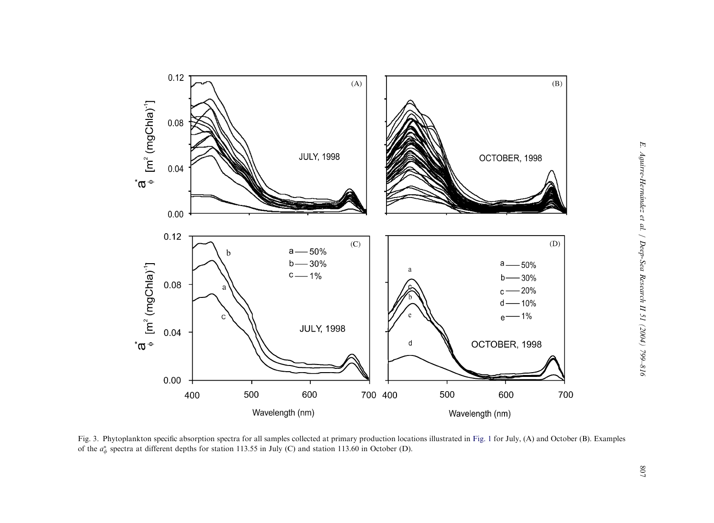<span id="page-8-0"></span>

Fig. 3. Phytoplankton specific absorption spectra for all samples collected at primary production locations illustrated in [Fig.](#page-4-0) 1 for July, (A) and October (B). Examples of the  $a_{\phi}^{*}$  spectra at different depths for station 113.55 in July (C) and station 113.60 in October (D).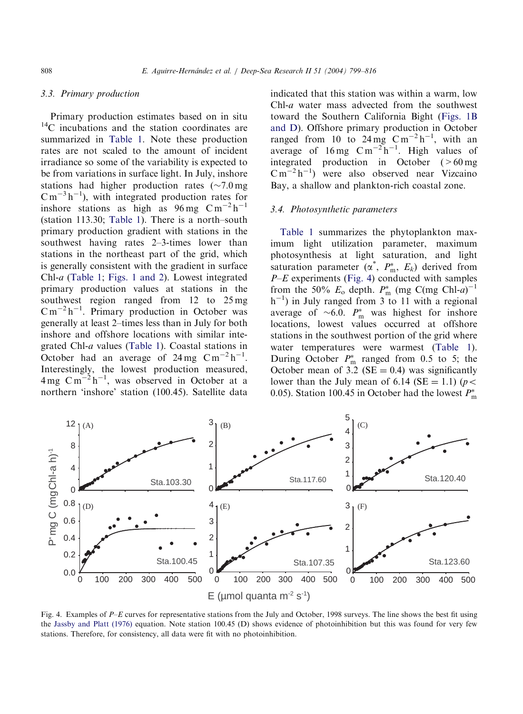# <span id="page-9-0"></span>3.3. Primary production

Primary production estimates based on in situ <sup>14</sup>C incubations and the station coordinates are summarized in [Table 1](#page-5-0). Note these production rates are not scaled to the amount of incident irradiance so some of the variability is expected to be from variations in surface light. In July, inshore stations had higher production rates  $({\sim}7.0 \text{ mg})$  $\text{C m}^{-3} \text{h}^{-1}$ ), with integrated production rates for inshore stations as high as  $96 \text{ mg } \text{C m}^{-2} \text{h}^{-1}$ (station 113.30; [Table 1\)](#page-5-0). There is a north–south primary production gradient with stations in the southwest having rates 2–3-times lower than stations in the northeast part of the grid, which is generally consistent with the gradient in surface Chl-a [\(Table 1](#page-5-0); [Figs. 1 and 2](#page-4-0)). Lowest integrated primary production values at stations in the southwest region ranged from 12 to 25 mg  $\text{C m}^{-2} \text{h}^{-1}$ . Primary production in October was generally at least 2–times less than in July for both inshore and offshore locations with similar integrated Chl-a values ([Table 1\)](#page-5-0). Coastal stations in October had an average of  $24 \text{ mg } \text{C m}^{-2} \text{h}^{-1}$ . Interestingly, the lowest production measured,  $4 \text{ mg } \text{C} \text{m}^{-2} \text{h}^{-1}$ , was observed in October at a northern 'inshore' station (100.45). Satellite data

indicated that this station was within a warm, low Chl-a water mass advected from the southwest toward the Southern California Bight [\(Figs. 1B](#page-4-0) [and D\)](#page-4-0). Offshore primary production in October ranged from 10 to 24 mg  $\text{C m}^{-2} \text{h}^{-1}$ , with an average of  $16 \text{ mg } \text{C} \text{m}^{-2} \text{h}^{-1}$ . High values of integrated production in October  $(>60 \text{ mg})$  $\text{C m}^{-2} \text{h}^{-1}$ ) were also observed near Vizcaino Bay, a shallow and plankton-rich coastal zone.

## 3.4. Photosynthetic parameters

[Table 1](#page-5-0) summarizes the phytoplankton maximum light utilization parameter, maximum photosynthesis at light saturation, and light saturation parameter  $(\alpha^*, P_m^*, E_k)$  derived from  $P-E$  experiments (Fig. 4) conducted with samples from the 50%  $E_0$  depth.  $P_m^*$  (mg C(mg Chl-a)<sup>-1</sup>  $h^{-1}$ ) in July ranged from 3 to 11 with a regional average of  $\sim 6.0$ .  $P_{\text{m}}^{*}$  was highest for inshore locations, lowest values occurred at offshore stations in the southwest portion of the grid where water temperatures were warmest [\(Table 1\)](#page-5-0). During October  $P_{\text{m}}^{*}$  ranged from 0.5 to 5; the October mean of 3.2 ( $SE = 0.4$ ) was significantly lower than the July mean of 6.14 (SE = 1.1) ( $p$  < 0.05). Station 100.45 in October had the lowest  $P_{\text{m}}^*$ 



Fig. 4. Examples of P–E curves for representative stations from the July and October, 1998 surveys. The line shows the best fit using the [Jassby and Platt \(1976\)](#page-16-0) equation. Note station 100.45 (D) shows evidence of photoinhibition but this was found for very few stations. Therefore, for consistency, all data were fit with no photoinhibition.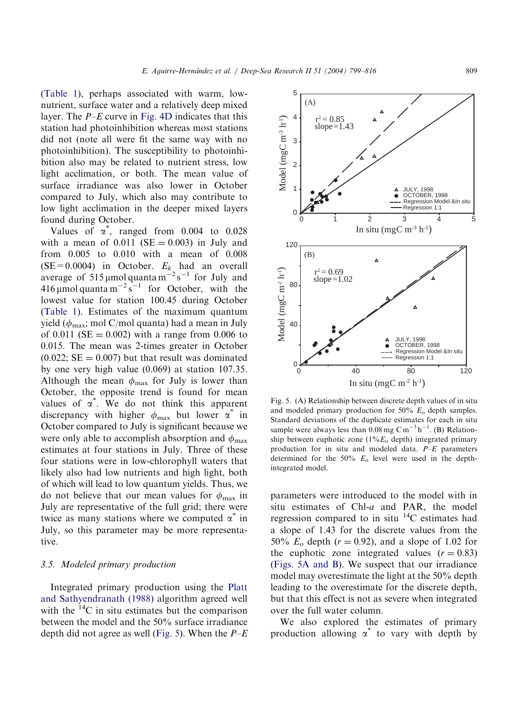<span id="page-10-0"></span>([Table 1\)](#page-5-0), perhaps associated with warm, lownutrient, surface water and a relatively deep mixed layer. The  $P-E$  curve in [Fig. 4D](#page-9-0) indicates that this station had photoinhibition whereas most stations did not (note all were fit the same way with no photoinhibition). The susceptibility to photoinhibition also may be related to nutrient stress, low light acclimation, or both. The mean value of surface irradiance was also lower in October compared to July, which also may contribute to low light acclimation in the deeper mixed layers found during October.

Values of  $\alpha^*$ , ranged from 0.004 to 0.028 with a mean of  $0.011$  (SE = 0.003) in July and from 0.005 to 0.010 with a mean of 0.008  $(SE = 0.0004)$  in October.  $E_k$  had an overall average of 515 µmol quanta  $m^{-2} s^{-1}$  for July and 416 µmol quanta m<sup>-2</sup> s<sup>-1</sup> for October, with the lowest value for station 100.45 during October ([Table 1](#page-5-0)). Estimates of the maximum quantum yield ( $\phi_{\text{max}}$ ; mol C/mol quanta) had a mean in July of 0.011 ( $SE = 0.002$ ) with a range from 0.006 to 0.015. The mean was 2-times greater in October  $(0.022; SE = 0.007)$  but that result was dominated by one very high value (0.069) at station 107.35. Although the mean  $\phi_{\text{max}}$  for July is lower than October, the opposite trend is found for mean values of  $\alpha^*$ . We do not think this apparent discrepancy with higher  $\phi_{\text{max}}$  but lower  $\alpha^*$  in October compared to July is significant because we were only able to accomplish absorption and  $\phi_{\text{max}}$ estimates at four stations in July. Three of these four stations were in low-chlorophyll waters that likely also had low nutrients and high light, both of which will lead to low quantum yields. Thus, we do not believe that our mean values for  $\phi_{\text{max}}$  in July are representative of the full grid; there were twice as many stations where we computed  $\alpha^*$  in July, so this parameter may be more representative.

# 3.5. Modeled primary production

Integrated primary production using the [Platt](#page-16-0) [and Sathyendranath \(1988\)](#page-16-0) algorithm agreed well with the  $^{14}$ C in situ estimates but the comparison between the model and the 50% surface irradiance depth did not agree as well (Fig. 5). When the  $P-E$ 

Fig. 5. (A) Relationship between discrete depth values of in situ and modeled primary production for  $50\%$   $E_0$  depth samples. Standard deviations of the duplicate estimates for each in situ sample were always less than  $0.08$  mg C m<sup>-3</sup> h<sup>-1</sup>. (B) Relationship between euphotic zone  $(1\%E_0 \text{ depth})$  integrated primary production for in situ and modeled data. P–E parameters determined for the  $50\%$   $E_0$  level were used in the depthintegrated model.

parameters were introduced to the model with in situ estimates of Chl-a and PAR, the model regression compared to in situ  $^{14}$ C estimates had a slope of 1.43 for the discrete values from the 50%  $E_0$  depth ( $r = 0.92$ ), and a slope of 1.02 for the euphotic zone integrated values  $(r = 0.83)$ (Figs. 5A and B). We suspect that our irradiance model may overestimate the light at the 50% depth leading to the overestimate for the discrete depth, but that this effect is not as severe when integrated over the full water column.

We also explored the estimates of primary production allowing  $\alpha^*$  to vary with depth by



3

4

 $r^2 = 0.85$ slope= $1.43$ 

5

 $(A)$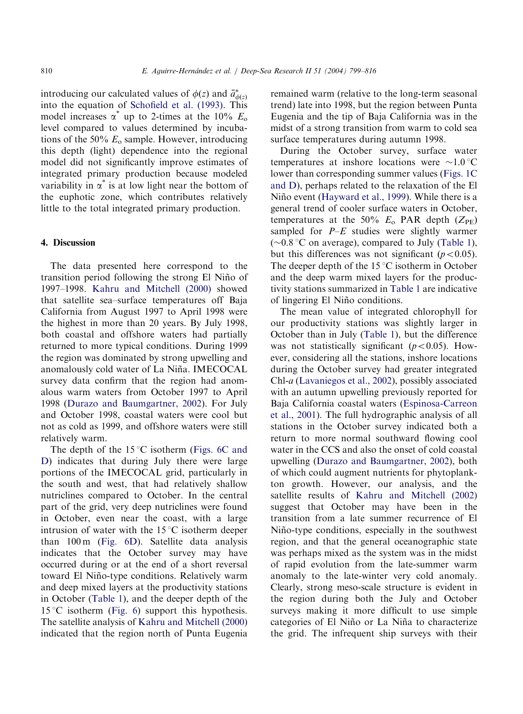introducing our calculated values of  $\phi(z)$  and  $\bar{a}^*_{\phi(z)}$ into the equation of [Schofield et al. \(1993\)](#page-16-0). This model increases  $\alpha^*$  up to 2-times at the 10%  $E_0$ level compared to values determined by incubations of the 50%  $E_0$  sample. However, introducing this depth (light) dependence into the regional model did not significantly improve estimates of integrated primary production because modeled variability in  $\alpha^*$  is at low light near the bottom of the euphotic zone, which contributes relatively little to the total integrated primary production.

## 4. Discussion

The data presented here correspond to the transition period following the strong El Niño of 1997–1998. [Kahru and Mitchell \(2000\)](#page-16-0) showed that satellite sea–surface temperatures off Baja California from August 1997 to April 1998 were the highest in more than 20 years. By July 1998, both coastal and offshore waters had partially returned to more typical conditions. During 1999 the region was dominated by strong upwelling and anomalously cold water of La Niña. IMECOCAL survey data confirm that the region had anomalous warm waters from October 1997 to April 1998 ([Durazo and Baumgartner, 2002\)](#page-15-0). For July and October 1998, coastal waters were cool but not as cold as 1999, and offshore waters were still relatively warm.

The depth of the  $15^{\circ}$ C isotherm [\(Figs. 6C and](#page-12-0) [D\)](#page-12-0) indicates that during July there were large portions of the IMECOCAL grid, particularly in the south and west, that had relatively shallow nutriclines compared to October. In the central part of the grid, very deep nutriclines were found in October, even near the coast, with a large intrusion of water with the  $15^{\circ}$ C isotherm deeper than 100 m [\(Fig. 6D\)](#page-12-0). Satellite data analysis indicates that the October survey may have occurred during or at the end of a short reversal toward El Niño-type conditions. Relatively warm and deep mixed layers at the productivity stations in October [\(Table 1](#page-5-0)), and the deeper depth of the 15 °C isotherm ([Fig. 6\)](#page-12-0) support this hypothesis. The satellite analysis of [Kahru and Mitchell \(2000\)](#page-16-0) indicated that the region north of Punta Eugenia

remained warm (relative to the long-term seasonal trend) late into 1998, but the region between Punta Eugenia and the tip of Baja California was in the midst of a strong transition from warm to cold sea surface temperatures during autumn 1998.

During the October survey, surface water temperatures at inshore locations were  $\sim 1.0$  °C lower than corresponding summer values [\(Figs. 1C](#page-4-0) [and D\)](#page-4-0), perhaps related to the relaxation of the El Niño event [\(Hayward et al., 1999\)](#page-16-0). While there is a general trend of cooler surface waters in October, temperatures at the 50%  $E_0$  PAR depth ( $Z_{\text{PE}}$ ) sampled for  $P-E$  studies were slightly warmer  $(\sim 0.8 \degree C$  on average), compared to July [\(Table 1\)](#page-5-0), but this differences was not significant  $(p<0.05)$ . The deeper depth of the  $15^{\circ}$ C isotherm in October and the deep warm mixed layers for the productivity stations summarized in [Table 1](#page-5-0) are indicative of lingering El Niño conditions.

The mean value of integrated chlorophyll for our productivity stations was slightly larger in October than in July [\(Table 1](#page-5-0)), but the difference was not statistically significant  $(p<0.05)$ . However, considering all the stations, inshore locations during the October survey had greater integrated Chl-a [\(Lavaniegos et al., 2002\)](#page-16-0), possibly associated with an autumn upwelling previously reported for Baja California coastal waters ([Espinosa-Carreon](#page-15-0) [et al., 2001](#page-15-0)). The full hydrographic analysis of all stations in the October survey indicated both a return to more normal southward flowing cool water in the CCS and also the onset of cold coastal upwelling ([Durazo and Baumgartner, 2002](#page-15-0)), both of which could augment nutrients for phytoplankton growth. However, our analysis, and the satellite results of [Kahru and Mitchell \(2002\)](#page-16-0) suggest that October may have been in the transition from a late summer recurrence of El Niño-type conditions, especially in the southwest region, and that the general oceanographic state was perhaps mixed as the system was in the midst of rapid evolution from the late-summer warm anomaly to the late-winter very cold anomaly. Clearly, strong meso-scale structure is evident in the region during both the July and October surveys making it more difficult to use simple categories of El Niño or La Niña to characterize the grid. The infrequent ship surveys with their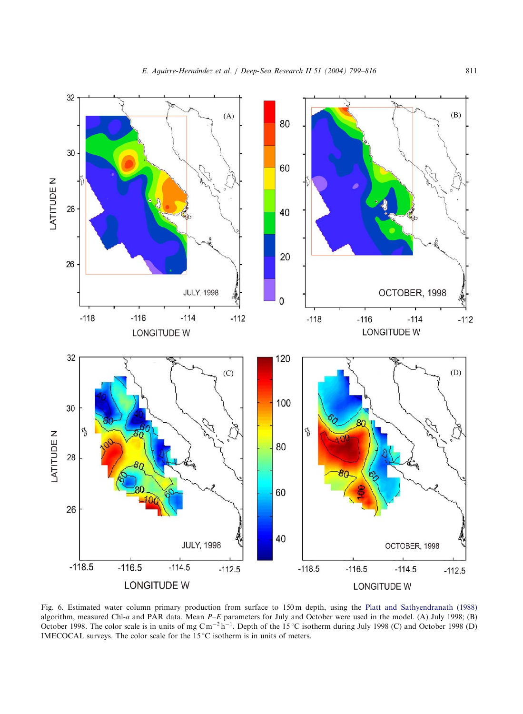<span id="page-12-0"></span>

Fig. 6. Estimated water column primary production from surface to 150 m depth, using the [Platt and Sathyendranath \(1988\)](#page-16-0) algorithm, measured Chl-a and PAR data. Mean P–E parameters for July and October were used in the model. (A) July 1998; (B)<br>October 1998. The color scale is in units of mg Cm<sup>–2</sup> h<sup>–1</sup>. Depth of the 15 °C isotherm during IMECOCAL surveys. The color scale for the  $15^{\circ}$ C isotherm is in units of meters.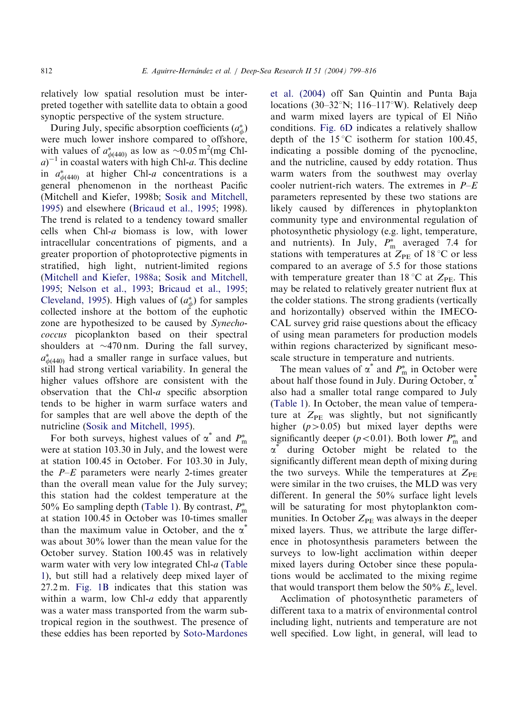relatively low spatial resolution must be interpreted together with satellite data to obtain a good synoptic perspective of the system structure.

During July, specific absorption coefficients  $(a^*_{\phi})$ were much lower inshore compared to offshore, with values of  $a_{\phi(440)}^*$  as low as ~0.05 m<sup>2</sup>(mg Chl $a$ <sup>-1</sup> in coastal waters with high Chl-a. This decline in  $a_{\phi(440)}^*$  at higher Chl-a concentrations is a general phenomenon in the northeast Pacific (Mitchell and Kiefer, 1998b; [Sosik and Mitchell,](#page-17-0) [1995](#page-17-0)) and elsewhere [\(Bricaud et al., 1995;](#page-15-0) 1998). The trend is related to a tendency toward smaller cells when Chl-a biomass is low, with lower intracellular concentrations of pigments, and a greater proportion of photoprotective pigments in stratified, high light, nutrient-limited regions ([Mitchell and Kiefer, 1988a;](#page-16-0) [Sosik and Mitchell,](#page-17-0) [1995](#page-17-0); [Nelson et al., 1993](#page-16-0); [Bricaud et al., 1995](#page-15-0); [Cleveland, 1995](#page-15-0)). High values of  $(a^*_{\phi})$  for samples collected inshore at the bottom of the euphotic zone are hypothesized to be caused by Synechococcus picoplankton based on their spectral shoulders at  $\sim$ 470 nm. During the fall survey,  $a^*_{\phi(440)}$  had a smaller range in surface values, but still had strong vertical variability. In general the higher values offshore are consistent with the observation that the Chl-a specific absorption tends to be higher in warm surface waters and for samples that are well above the depth of the nutricline ([Sosik and Mitchell, 1995](#page-17-0)).

For both surveys, highest values of  $\alpha^*$  and  $P_{\text{m}}^*$ were at station 103.30 in July, and the lowest were at station 100.45 in October. For 103.30 in July, the  $P-E$  parameters were nearly 2-times greater than the overall mean value for the July survey; this station had the coldest temperature at the 50% Eo sampling depth ([Table 1](#page-5-0)). By contrast,  $P_{\text{m}}^{*}$ at station 100.45 in October was 10-times smaller than the maximum value in October, and the  $\alpha^*$ was about 30% lower than the mean value for the October survey. Station 100.45 was in relatively warm water with very low integrated Chl-a [\(Table](#page-5-0) [1\)](#page-5-0), but still had a relatively deep mixed layer of 27.2 m. [Fig. 1B](#page-4-0) indicates that this station was within a warm, low Chl- $a$  eddy that apparently was a water mass transported from the warm subtropical region in the southwest. The presence of these eddies has been reported by [Soto-Mardones](#page-17-0)

[et al. \(2004\)](#page-17-0) off San Quintin and Punta Baja locations (30–32 $\textdegree N$ ; 116–117 $\textdegree W$ ). Relatively deep and warm mixed layers are typical of El Niño conditions. [Fig. 6D](#page-12-0) indicates a relatively shallow depth of the  $15^{\circ}$ C isotherm for station 100.45, indicating a possible doming of the pycnocline, and the nutricline, caused by eddy rotation. Thus warm waters from the southwest may overlay cooler nutrient-rich waters. The extremes in  $P-E$ parameters represented by these two stations are likely caused by differences in phytoplankton community type and environmental regulation of photosynthetic physiology (e.g. light, temperature, and nutrients). In July,  $P_{\text{m}}^{*}$  averaged 7.4 for stations with temperatures at  $Z_{\rm PE}$  of 18 °C or less compared to an average of 5.5 for those stations with temperature greater than 18 °C at  $Z_{PE}$ . This may be related to relatively greater nutrient flux at the colder stations. The strong gradients (vertically and horizontally) observed within the IMECO-CAL survey grid raise questions about the efficacy of using mean parameters for production models within regions characterized by significant mesoscale structure in temperature and nutrients.

The mean values of  $\alpha^*$  and  $P_m^*$  in October were about half those found in July. During October,  $\alpha^{\dagger}$ also had a smaller total range compared to July ([Table 1](#page-5-0)). In October, the mean value of temperature at  $Z_{PE}$  was slightly, but not significantly higher  $(p>0.05)$  but mixed layer depths were significantly deeper ( $p < 0.01$ ). Both lower  $P_{\text{m}}^*$  and  $\alpha^{\dagger}$  during October might be related to the significantly different mean depth of mixing during the two surveys. While the temperatures at  $Z_{PE}$ were similar in the two cruises, the MLD was very different. In general the 50% surface light levels will be saturating for most phytoplankton communities. In October  $Z_{PE}$  was always in the deeper mixed layers. Thus, we attribute the large difference in photosynthesis parameters between the surveys to low-light acclimation within deeper mixed layers during October since these populations would be acclimated to the mixing regime that would transport them below the 50%  $E_0$  level.

Acclimation of photosynthetic parameters of different taxa to a matrix of environmental control including light, nutrients and temperature are not well specified. Low light, in general, will lead to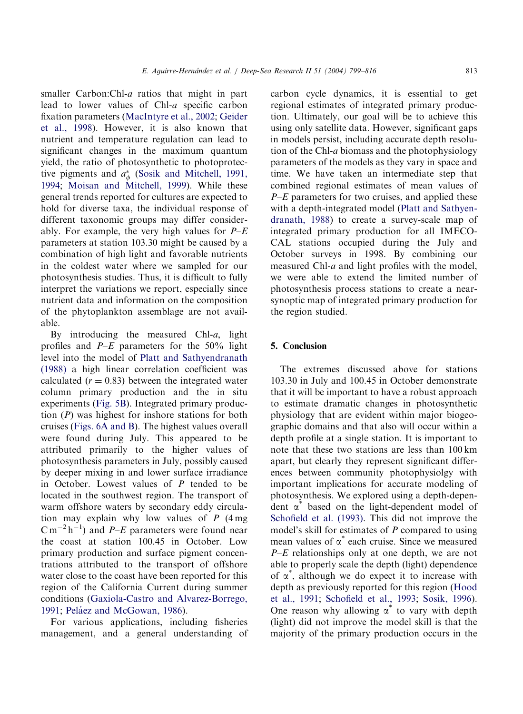smaller Carbon:Chl-a ratios that might in part lead to lower values of Chl-a specific carbon fixation parameters ([MacIntyre et al., 2002;](#page-16-0) [Geider](#page-15-0) [et al., 1998](#page-15-0)). However, it is also known that nutrient and temperature regulation can lead to significant changes in the maximum quantum yield, the ratio of photosynthetic to photoprotective pigments and  $a^*_{\phi}$  [\(Sosik and Mitchell, 1991,](#page-17-0) [1994](#page-17-0); [Moisan and Mitchell, 1999](#page-16-0)). While these general trends reported for cultures are expected to hold for diverse taxa, the individual response of different taxonomic groups may differ considerably. For example, the very high values for  $P-E$ parameters at station 103.30 might be caused by a combination of high light and favorable nutrients in the coldest water where we sampled for our photosynthesis studies. Thus, it is difficult to fully interpret the variations we report, especially since nutrient data and information on the composition of the phytoplankton assemblage are not available.

By introducing the measured Chl- $a$ , light profiles and  $P-E$  parameters for the 50% light level into the model of [Platt and Sathyendranath](#page-16-0) [\(1988\)](#page-16-0) a high linear correlation coefficient was calculated  $(r = 0.83)$  between the integrated water column primary production and the in situ experiments ([Fig. 5B](#page-10-0)). Integrated primary production (P) was highest for inshore stations for both cruises ([Figs. 6A and B\)](#page-12-0). The highest values overall were found during July. This appeared to be attributed primarily to the higher values of photosynthesis parameters in July, possibly caused by deeper mixing in and lower surface irradiance in October. Lowest values of  $P$  tended to be located in the southwest region. The transport of warm offshore waters by secondary eddy circulation may explain why low values of  $P$  (4 mg)  $\text{C m}^{-2} \text{h}^{-1}$ ) and *P–E* parameters were found near the coast at station 100.45 in October. Low primary production and surface pigment concentrations attributed to the transport of offshore water close to the coast have been reported for this region of the California Current during summer conditions [\(Gaxiola-Castro and Alvarez-Borrego,](#page-15-0) [1991](#page-15-0); Peláez and McGowan, 1986).

For various applications, including fisheries management, and a general understanding of carbon cycle dynamics, it is essential to get regional estimates of integrated primary production. Ultimately, our goal will be to achieve this using only satellite data. However, significant gaps in models persist, including accurate depth resolution of the Chl-a biomass and the photophysiology parameters of the models as they vary in space and time. We have taken an intermediate step that combined regional estimates of mean values of  $P-E$  parameters for two cruises, and applied these with a depth-integrated model [\(Platt and Sathyen](#page-16-0)[dranath, 1988](#page-16-0)) to create a survey-scale map of integrated primary production for all IMECO-CAL stations occupied during the July and October surveys in 1998. By combining our measured Chl-a and light profiles with the model, we were able to extend the limited number of photosynthesis process stations to create a nearsynoptic map of integrated primary production for the region studied.

# 5. Conclusion

The extremes discussed above for stations 103.30 in July and 100.45 in October demonstrate that it will be important to have a robust approach to estimate dramatic changes in photosynthetic physiology that are evident within major biogeographic domains and that also will occur within a depth profile at a single station. It is important to note that these two stations are less than 100 km apart, but clearly they represent significant differences between community photophysiolgy with important implications for accurate modeling of photosynthesis. We explored using a depth-dependent  $\alpha^*$  based on the light-dependent model of [Schofield et al. \(1993\).](#page-16-0) This did not improve the model's skill for estimates of P compared to using mean values of  $\alpha^*$  each cruise. Since we measured  $P-E$  relationships only at one depth, we are not able to properly scale the depth (light) dependence of  $\alpha^*$ , although we do expect it to increase with depth as previously reported for this region [\(Hood](#page-16-0) [et al., 1991;](#page-16-0) [Schofield et al., 1993;](#page-16-0) [Sosik, 1996\)](#page-17-0). One reason why allowing  $\alpha^*$  to vary with depth (light) did not improve the model skill is that the majority of the primary production occurs in the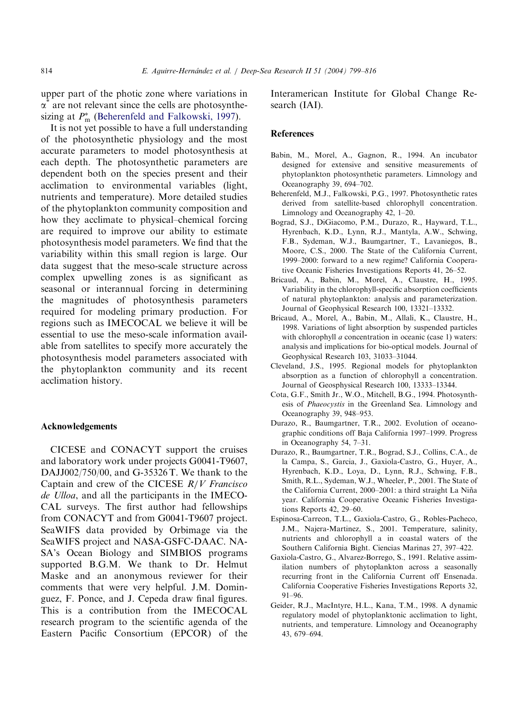<span id="page-15-0"></span>upper part of the photic zone where variations in  $\alpha^{\dagger}$  are not relevant since the cells are photosynthesizing at  $P_{\text{m}}^{*}$  (Beherenfeld and Falkowski, 1997).

It is not yet possible to have a full understanding of the photosynthetic physiology and the most accurate parameters to model photosynthesis at each depth. The photosynthetic parameters are dependent both on the species present and their acclimation to environmental variables (light, nutrients and temperature). More detailed studies of the phytoplankton community composition and how they acclimate to physical–chemical forcing are required to improve our ability to estimate photosynthesis model parameters. We find that the variability within this small region is large. Our data suggest that the meso-scale structure across complex upwelling zones is as significant as seasonal or interannual forcing in determining the magnitudes of photosynthesis parameters required for modeling primary production. For regions such as IMECOCAL we believe it will be essential to use the meso-scale information available from satellites to specify more accurately the photosynthesis model parameters associated with the phytoplankton community and its recent acclimation history.

# Acknowledgements

CICESE and CONACYT support the cruises and laboratory work under projects G0041-T9607, DAJJ002/750/00, and G-35326 T. We thank to the Captain and crew of the CICESE  $R/V$  Francisco de Ulloa, and all the participants in the IMECO-CAL surveys. The first author had fellowships from CONACYT and from G0041-T9607 project. SeaWIFS data provided by Orbimage via the SeaWIFS project and NASA-GSFC-DAAC. NA-SA's Ocean Biology and SIMBIOS programs supported B.G.M. We thank to Dr. Helmut Maske and an anonymous reviewer for their comments that were very helpful. J.M. Dominguez, F. Ponce, and J. Cepeda draw final figures. This is a contribution from the IMECOCAL research program to the scientific agenda of the Eastern Pacific Consortium (EPCOR) of the Interamerican Institute for Global Change Research (IAI).

## References

- Babin, M., Morel, A., Gagnon, R., 1994. An incubator designed for extensive and sensitive measurements of phytoplankton photosynthetic parameters. Limnology and Oceanography 39, 694–702.
- Beherenfeld, M.J., Falkowski, P.G., 1997. Photosynthetic rates derived from satellite-based chlorophyll concentration. Limnology and Oceanography 42, 1–20.
- Bograd, S.J., DiGiacomo, P.M., Durazo, R., Hayward, T.L., Hyrenbach, K.D., Lynn, R.J., Mantyla, A.W., Schwing, F.B., Sydeman, W.J., Baumgartner, T., Lavaniegos, B., Moore, C.S., 2000. The State of the California Current, 1999–2000: forward to a new regime? California Cooperative Oceanic Fisheries Investigations Reports 41, 26–52.
- Bricaud, A., Babin, M., Morel, A., Claustre, H., 1995. Variability in the chlorophyll-specific absorption coefficients of natural phytoplankton: analysis and parameterization. Journal of Geophysical Research 100, 13321–13332.
- Bricaud, A., Morel, A., Babin, M., Allali, K., Claustre, H., 1998. Variations of light absorption by suspended particles with chlorophyll  $a$  concentration in oceanic (case 1) waters: analysis and implications for bio-optical models. Journal of Geophysical Research 103, 31033–31044.
- Cleveland, J.S., 1995. Regional models for phytoplankton absorption as a function of chlorophyll a concentration. Journal of Geosphysical Research 100, 13333–13344.
- Cota, G.F., Smith Jr., W.O., Mitchell, B.G., 1994. Photosynthesis of Phaeocystis in the Greenland Sea. Limnology and Oceanography 39, 948–953.
- Durazo, R., Baumgartner, T.R., 2002. Evolution of oceanographic conditions off Baja California 1997–1999. Progress in Oceanography 54, 7–31.
- Durazo, R., Baumgartner, T.R., Bograd, S.J., Collins, C.A., de la Campa, S., Garcia, J., Gaxiola-Castro, G., Huyer, A., Hyrenbach, K.D., Loya, D., Lynn, R.J., Schwing, F.B., Smith, R.L., Sydeman, W.J., Wheeler, P., 2001. The State of the California Current, 2000–2001: a third straight La Niña year. California Cooperative Oceanic Fisheries Investigations Reports 42, 29–60.
- Espinosa-Carreon, T.L., Gaxiola-Castro, G., Robles-Pacheco, J.M., Najera-Martinez, S., 2001. Temperature, salinity, nutrients and chlorophyll a in coastal waters of the Southern California Bight. Ciencias Marinas 27, 397–422.
- Gaxiola-Castro, G., Alvarez-Borrego, S., 1991. Relative assimilation numbers of phytoplankton across a seasonally recurring front in the California Current off Ensenada. California Cooperative Fisheries Investigations Reports 32, 91–96.
- Geider, R.J., MacIntyre, H.L., Kana, T.M., 1998. A dynamic regulatory model of phytoplanktonic acclimation to light, nutrients, and temperature. Limnology and Oceanography 43, 679–694.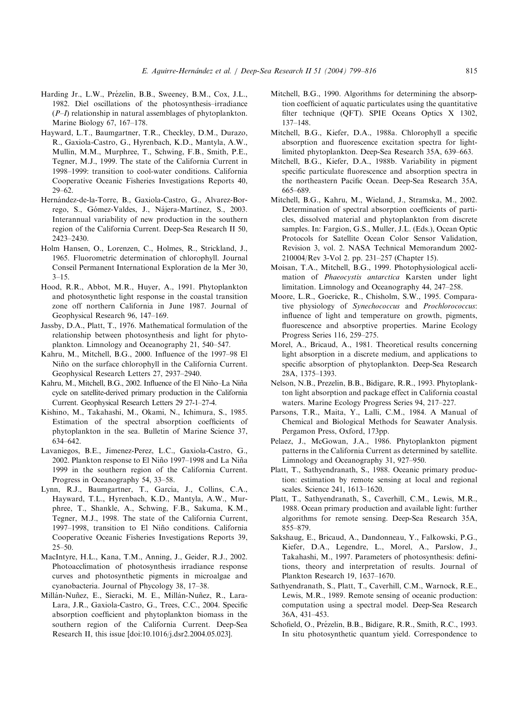- <span id="page-16-0"></span>Harding Jr., L.W., Prézelin, B.B., Sweeney, B.M., Cox, J.L., 1982. Diel oscillations of the photosynthesis–irradiance  $(P-I)$  relationship in natural assemblages of phytoplankton. Marine Biology 67, 167–178.
- Hayward, L.T., Baumgartner, T.R., Checkley, D.M., Durazo, R., Gaxiola-Castro, G., Hyrenbach, K.D., Mantyla, A.W., Mullin, M.M., Murphree, T., Schwing, F.B., Smith, P.E., Tegner, M.J., 1999. The state of the California Current in 1998–1999: transition to cool-water conditions. California Cooperative Oceanic Fisheries Investigations Reports 40, 29–62.
- Hernández-de-la-Torre, B., Gaxiola-Castro, G., Alvarez-Borrego, S., Gómez-Valdes, J., Nájera-Martínez, S., 2003. Interannual variability of new production in the southern region of the California Current. Deep-Sea Research II 50, 2423–2430.
- Holm Hansen, O., Lorenzen, C., Holmes, R., Strickland, J., 1965. Fluorometric determination of chlorophyll. Journal Conseil Permanent International Exploration de la Mer 30,  $3 - 15$ .
- Hood, R.R., Abbot, M.R., Huyer, A., 1991. Phytoplankton and photosynthetic light response in the coastal transition zone off northern California in June 1987. Journal of Geophysical Research 96, 147–169.
- Jassby, D.A., Platt, T., 1976. Mathematical formulation of the relationship between photosynthesis and light for phytoplankton. Limnology and Oceanography 21, 540–547.
- Kahru, M., Mitchell, B.G., 2000. Influence of the 1997–98 El Niño on the surface chlorophyll in the California Current. Geophysical Research Letters 27, 2937–2940.
- Kahru, M., Mitchell, B.G., 2002. Influence of the El Niño-La Niña cycle on satellite-derived primary production in the California Current. Geophysical Research Letters 29 27-1–27-4.
- Kishino, M., Takahashi, M., Okami, N., Ichimura, S., 1985. Estimation of the spectral absorption coefficients of phytoplankton in the sea. Bulletin of Marine Science 37, 634–642.
- Lavaniegos, B.E., Jimenez-Perez, L.C., Gaxiola-Castro, G., 2002. Plankton response to El Niño 1997–1998 and La Niña 1999 in the southern region of the California Current. Progress in Oceanography 54, 33–58.
- Lynn, R.J., Baumgartner, T., García, J., Collins, C.A., Hayward, T.L., Hyrenbach, K.D., Mantyla, A.W., Murphree, T., Shankle, A., Schwing, F.B., Sakuma, K.M., Tegner, M.J., 1998. The state of the California Current, 1997–1998, transition to El Niño conditions. California Cooperative Oceanic Fisheries Investigations Reports 39, 25–50.
- MacIntyre, H.L., Kana, T.M., Anning, J., Geider, R.J., 2002. Photoacclimation of photosynthesis irradiance response curves and photosynthetic pigments in microalgae and cyanobacteria. Journal of Phycology 38, 17–38.
- Millán-Nuñez, E., Sieracki, M. E., Millán-Nuñez, R., Lara-Lara, J.R., Gaxiola-Castro, G., Trees, C.C., 2004. Specific absorption coefficient and phytoplankton biomass in the southern region of the California Current. Deep-Sea Research II, this issue [doi:10.1016/j.dsr2.2004.05.023].
- Mitchell, B.G., 1990. Algorithms for determining the absorption coefficient of aquatic particulates using the quantitative filter technique (QFT). SPIE Oceans Optics X 1302, 137–148.
- Mitchell, B.G., Kiefer, D.A., 1988a. Chlorophyll a specific absorption and fluorescence excitation spectra for lightlimited phytoplankton. Deep-Sea Research 35A, 639–663.
- Mitchell, B.G., Kiefer, D.A., 1988b. Variability in pigment specific particulate fluorescence and absorption spectra in the northeastern Pacific Ocean. Deep-Sea Research 35A, 665–689.
- Mitchell, B.G., Kahru, M., Wieland, J., Stramska, M., 2002. Determination of spectral absorption coefficients of particles, dissolved material and phytoplankton from discrete samples. In: Fargion, G.S., Muller, J.L. (Eds.), Ocean Optic Protocols for Satellite Ocean Color Sensor Validation, Revision 3, vol. 2. NASA Technical Memorandum 2002- 210004/Rev 3-Vol 2. pp. 231–257 (Chapter 15).
- Moisan, T.A., Mitchell, B.G., 1999. Photophysiological acclimation of Phaeocystis antarctica Karsten under light limitation. Limnology and Oceanography 44, 247–258.
- Moore, L.R., Goericke, R., Chisholm, S.W., 1995. Comparative physiology of Synechococcus and Prochlorococcus: influence of light and temperature on growth, pigments, fluorescence and absorptive properties. Marine Ecology Progress Series 116, 259–275.
- Morel, A., Bricaud, A., 1981. Theoretical results concerning light absorption in a discrete medium, and applications to specific absorption of phytoplankton. Deep-Sea Research 28A, 1375–1393.
- Nelson, N.B., Prezelin, B.B., Bidigare, R.R., 1993. Phytoplankton light absorption and package effect in California coastal waters. Marine Ecology Progress Series 94, 217–227.
- Parsons, T.R., Maita, Y., Lalli, C.M., 1984. A Manual of Chemical and Biological Methods for Seawater Analysis. Pergamon Press, Oxford, 173pp.
- Pelaez, J., McGowan, J.A., 1986. Phytoplankton pigment patterns in the California Current as determined by satellite. Limnology and Oceanography 31, 927–950.
- Platt, T., Sathyendranath, S., 1988. Oceanic primary production: estimation by remote sensing at local and regional scales. Science 241, 1613–1620.
- Platt, T., Sathyendranath, S., Caverhill, C.M., Lewis, M.R., 1988. Ocean primary production and available light: further algorithms for remote sensing. Deep-Sea Research 35A, 855–879.
- Sakshaug, E., Bricaud, A., Dandonneau, Y., Falkowski, P.G., Kiefer, D.A., Legendre, L., Morel, A., Parslow, J., Takahashi, M., 1997. Parameters of photosynthesis: definitions, theory and interpretation of results. Journal of Plankton Research 19, 1637–1670.
- Sathyendranath, S., Platt, T., Caverhill, C.M., Warnock, R.E., Lewis, M.R., 1989. Remote sensing of oceanic production: computation using a spectral model. Deep-Sea Research 36A, 431–453.
- Schofield, O., Prézelin, B.B., Bidigare, R.R., Smith, R.C., 1993. In situ photosynthetic quantum yield. Correspondence to